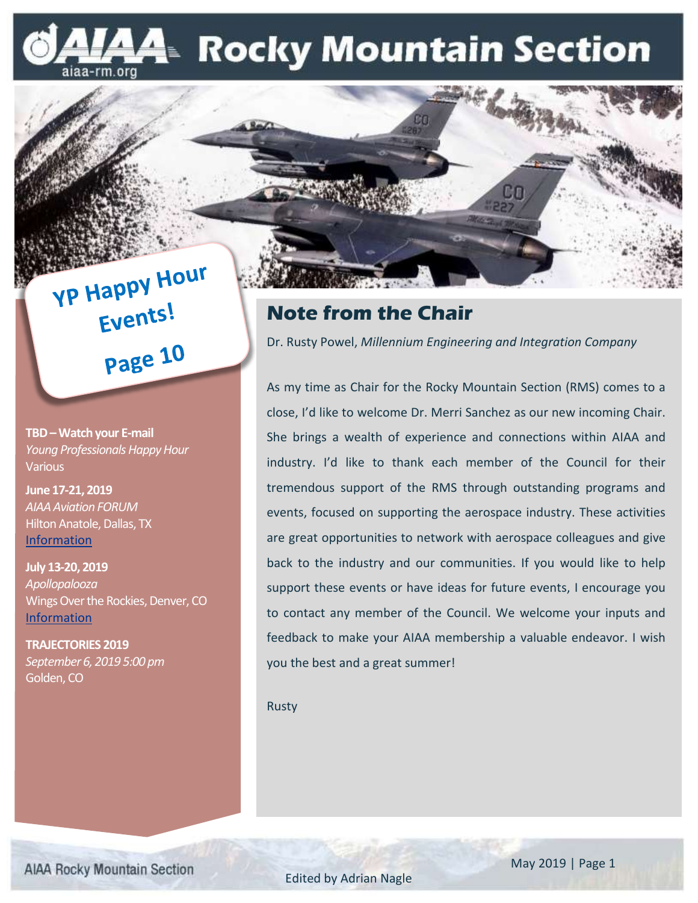### A- Rocky Mountain Section iaa-rm.org

**YP Happy Hour** Events! Page 10

**TBD –Watch your E-mail** *Young Professionals Happy Hour* **Various** 

**June 17-21, 2019** *AIAA Aviation FORUM* Hilton Anatole, Dallas, TX [Information](https://www.aiaa.org/aviation/)

**July 13-20, 2019** *Apollopalooza* Wings Over the Rockies, Denver, CO [Information](https://wingsmuseum.org/events/apollo/)

**TRAJECTORIES 2019** *September 6, 2019 5:00 pm* Golden, CO

### **Note from the Chair**

Dr. Rusty Powel, *Millennium Engineering and Integration Company*

As my time as Chair for the Rocky Mountain Section (RMS) comes to a close, I'd like to welcome Dr. Merri Sanchez as our new incoming Chair. She brings a wealth of experience and connections within AIAA and industry. I'd like to thank each member of the Council for their tremendous support of the RMS through outstanding programs and events, focused on supporting the aerospace industry. These activities are great opportunities to network with aerospace colleagues and give back to the industry and our communities. If you would like to help support these events or have ideas for future events, I encourage you to contact any member of the Council. We welcome your inputs and feedback to make your AIAA membership a valuable endeavor. I wish you the best and a great summer!

Rusty

**AIAA Rocky Mountain Section** 

Edited by Adrian Nagle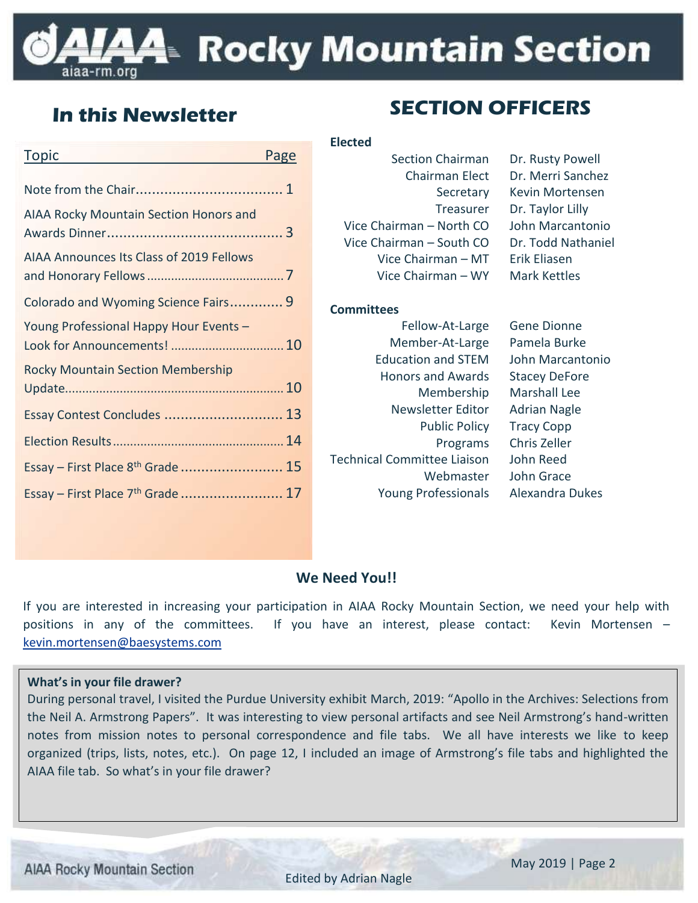### **44 Rocky Mountain Section** -rm.ora

**Committees**

| <b>Topic</b>                                    | Page |
|-------------------------------------------------|------|
|                                                 |      |
| <b>AIAA Rocky Mountain Section Honors and</b>   |      |
| <b>AIAA Announces Its Class of 2019 Fellows</b> |      |
| Colorado and Wyoming Science Fairs 9            |      |
| Young Professional Happy Hour Events -          |      |
| <b>Rocky Mountain Section Membership</b>        |      |
| Essay Contest Concludes  13                     |      |
|                                                 |      |
| Essay - First Place 8 <sup>th</sup> Grade  15   |      |
| Essay - First Place 7 <sup>th</sup> Grade  17   |      |

### **SECTION OFFICERS In this Newsletter**

### **Elected** Section Chairman Dr. Rusty Powell Vice Chairman – North CO John Marcantonio Vice Chairman – South CO Dr. Todd Nathaniel Vice Chairman – MT Erik Eliasen Vice Chairman – WY Mark Kettles

Chairman Elect Dr. Merri Sanchez Secretary Kevin Mortensen Treasurer Dr. Taylor Lilly

#### Fellow-At-Large Gene Dionne Member-At-Large Pamela Burke Education and STEM John Marcantonio Honors and Awards Stacey DeFore Membership Marshall Lee Newsletter Editor Adrian Nagle Public Policy Tracy Copp Programs Chris Zeller Technical Committee Liaison John Reed Webmaster John Grace Young Professionals Alexandra Dukes

#### **We Need You!!**

If you are interested in increasing your participation in AIAA Rocky Mountain Section, we need your help with positions in any of the committees. If you have an interest, please contact: Kevin Mortensen – [kevin.mortensen@baesystems.com](mailto:kevin.mortensen@baesystems.com)

#### **What's in your file drawer?**

During personal travel, I visited the Purdue University exhibit March, 2019: "Apollo in the Archives: Selections from the Neil A. Armstrong Papers". It was interesting to view personal artifacts and see Neil Armstrong's hand-written notes from mission notes to personal correspondence and file tabs. We all have interests we like to keep organized (trips, lists, notes, etc.). On page 12, I included an image of Armstrong's file tabs and highlighted the AIAA file tab. So what's in your file drawer?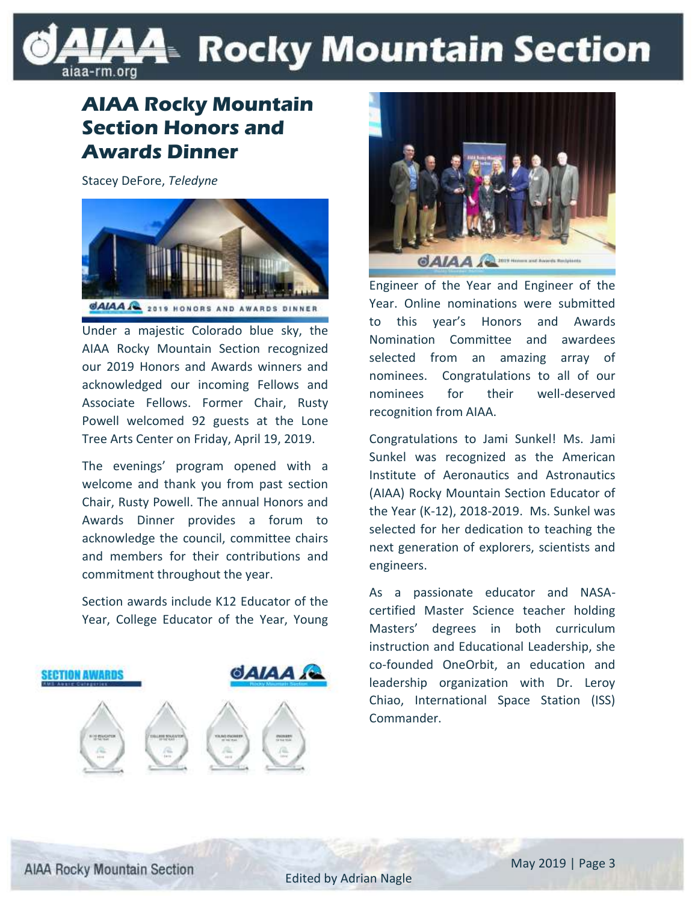### LAAE Rocky Mountain Section aiaa-rm.org

### **AIAA Rocky Mountain Section Honors and Awards Dinner**

Stacey DeFore, *Teledyne*



Under a majestic Colorado blue sky, the AIAA Rocky Mountain Section recognized our 2019 Honors and Awards winners and acknowledged our incoming Fellows and Associate Fellows. Former Chair, Rusty Powell welcomed 92 guests at the Lone Tree Arts Center on Friday, April 19, 2019.

The evenings' program opened with a welcome and thank you from past section Chair, Rusty Powell. The annual Honors and Awards Dinner provides a forum to acknowledge the council, committee chairs and members for their contributions and commitment throughout the year.

Section awards include K12 Educator of the Year, College Educator of the Year, Young





Engineer of the Year and Engineer of the Year. Online nominations were submitted to this year's Honors and Awards Nomination Committee and awardees selected from an amazing array of nominees. Congratulations to all of our nominees for their well-deserved recognition from AIAA.

Congratulations to Jami Sunkel! Ms. Jami Sunkel was recognized as the American Institute of Aeronautics and Astronautics (AIAA) Rocky Mountain Section Educator of the Year (K-12), 2018-2019. Ms. Sunkel was selected for her dedication to teaching the next generation of explorers, scientists and engineers.

As a passionate educator and NASAcertified Master Science teacher holding Masters' degrees in both curriculum instruction and Educational Leadership, she co-founded OneOrbit, an education and leadership organization with Dr. Leroy Chiao, International Space Station (ISS) Commander.

**AIAA Rocky Mountain Section**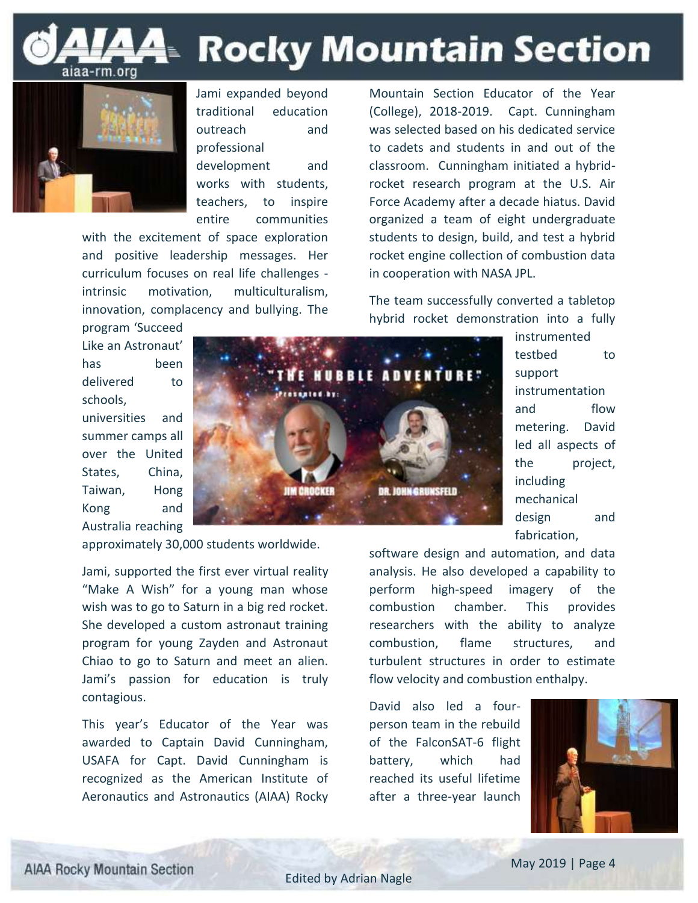

# **Rocky Mountain Section**



Jami expanded beyond traditional education outreach and professional development and works with students,

teachers, to inspire entire communities

with the excitement of space exploration and positive leadership messages. Her curriculum focuses on real life challenges intrinsic motivation, multiculturalism, innovation, complacency and bullying. The

Mountain Section Educator of the Year (College), 2018-2019. Capt. Cunningham was selected based on his dedicated service to cadets and students in and out of the classroom. Cunningham initiated a hybridrocket research program at the U.S. Air Force Academy after a decade hiatus. David organized a team of eight undergraduate students to design, build, and test a hybrid rocket engine collection of combustion data in cooperation with NASA JPL.

The team successfully converted a tabletop hybrid rocket demonstration into a fully

Like an Astronaut' has been delivered to schools, universities and summer camps all over the United States, China, Taiwan, Hong Kong and

program 'Succeed



testbed to support instrumentation and flow metering. David led all aspects of the project, including mechanical design and fabrication,

instrumented

software design and automation, and data analysis. He also developed a capability to perform high-speed imagery of the combustion chamber. This provides researchers with the ability to analyze combustion, flame structures, and turbulent structures in order to estimate flow velocity and combustion enthalpy.

David also led a fourperson team in the rebuild of the FalconSAT-6 flight battery, which had reached its useful lifetime after a three-year launch



Australia reaching

approximately 30,000 students worldwide.

Jami, supported the first ever virtual reality "Make A Wish" for a young man whose wish was to go to Saturn in a big red rocket. She developed a custom astronaut training program for young Zayden and Astronaut Chiao to go to Saturn and meet an alien. Jami's passion for education is truly contagious.

This year's Educator of the Year was awarded to Captain David Cunningham, USAFA for Capt. David Cunningham is recognized as the American Institute of Aeronautics and Astronautics (AIAA) Rocky

**AIAA Rocky Mountain Section**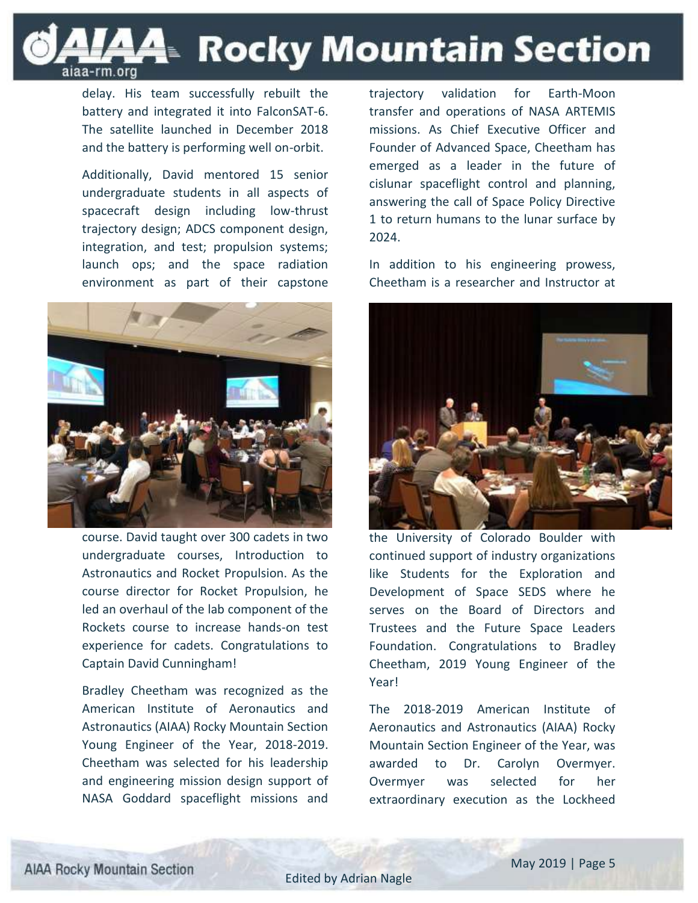

delay. His team successfully rebuilt the battery and integrated it into FalconSAT-6. The satellite launched in December 2018 and the battery is performing well on-orbit.

Additionally, David mentored 15 senior undergraduate students in all aspects of spacecraft design including low-thrust trajectory design; ADCS component design, integration, and test; propulsion systems; launch ops; and the space radiation environment as part of their capstone



course. David taught over 300 cadets in two undergraduate courses, Introduction to Astronautics and Rocket Propulsion. As the course director for Rocket Propulsion, he led an overhaul of the lab component of the Rockets course to increase hands-on test experience for cadets. Congratulations to Captain David Cunningham!

Bradley Cheetham was recognized as the American Institute of Aeronautics and Astronautics (AIAA) Rocky Mountain Section Young Engineer of the Year, 2018-2019. Cheetham was selected for his leadership and engineering mission design support of NASA Goddard spaceflight missions and trajectory validation for Earth-Moon transfer and operations of NASA ARTEMIS missions. As Chief Executive Officer and Founder of Advanced Space, Cheetham has emerged as a leader in the future of cislunar spaceflight control and planning, answering the call of Space Policy Directive 1 to return humans to the lunar surface by 2024.

In addition to his engineering prowess, Cheetham is a researcher and Instructor at



the University of Colorado Boulder with continued support of industry organizations like Students for the Exploration and Development of Space SEDS where he serves on the Board of Directors and Trustees and the Future Space Leaders Foundation. Congratulations to Bradley Cheetham, 2019 Young Engineer of the Year!

The 2018-2019 American Institute of Aeronautics and Astronautics (AIAA) Rocky Mountain Section Engineer of the Year, was awarded to Dr. Carolyn Overmyer. Overmyer was selected for her extraordinary execution as the Lockheed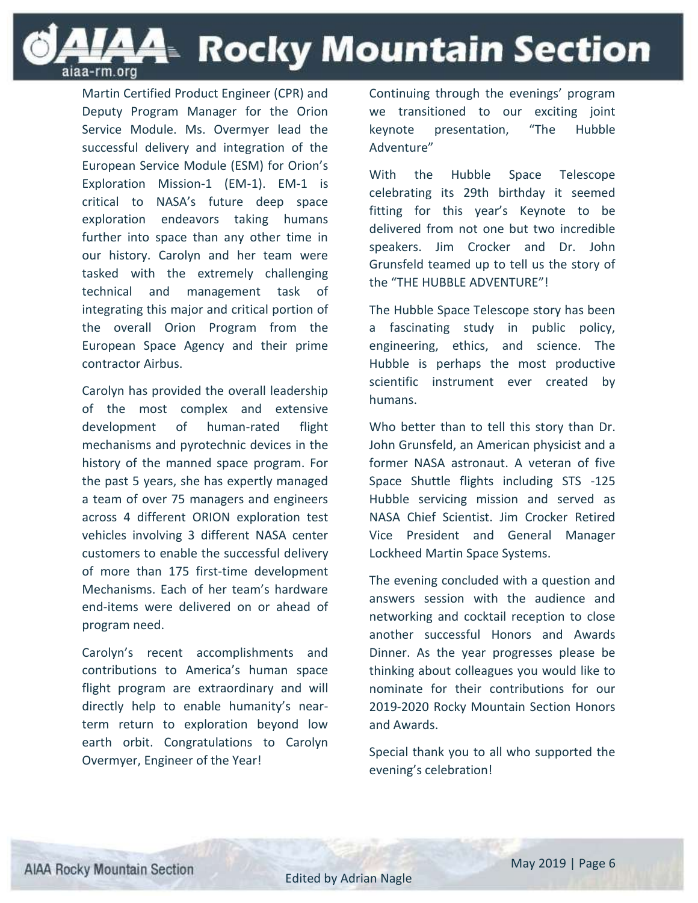**A4**⊪ Rocky Mountain Section

Martin Certified Product Engineer (CPR) and Deputy Program Manager for the Orion Service Module. Ms. Overmyer lead the successful delivery and integration of the European Service Module (ESM) for Orion's Exploration Mission-1 (EM-1). EM-1 is critical to NASA's future deep space exploration endeavors taking humans further into space than any other time in our history. Carolyn and her team were tasked with the extremely challenging technical and management task of integrating this major and critical portion of the overall Orion Program from the European Space Agency and their prime contractor Airbus.

aiaa-rm.org

Carolyn has provided the overall leadership of the most complex and extensive development of human-rated flight mechanisms and pyrotechnic devices in the history of the manned space program. For the past 5 years, she has expertly managed a team of over 75 managers and engineers across 4 different ORION exploration test vehicles involving 3 different NASA center customers to enable the successful delivery of more than 175 first-time development Mechanisms. Each of her team's hardware end-items were delivered on or ahead of program need.

Carolyn's recent accomplishments and contributions to America's human space flight program are extraordinary and will directly help to enable humanity's nearterm return to exploration beyond low earth orbit. Congratulations to Carolyn Overmyer, Engineer of the Year!

Continuing through the evenings' program we transitioned to our exciting joint keynote presentation, "The Hubble Adventure"

With the Hubble Space Telescope celebrating its 29th birthday it seemed fitting for this year's Keynote to be delivered from not one but two incredible speakers. Jim Crocker and Dr. John Grunsfeld teamed up to tell us the story of the "THE HUBBLE ADVENTURE"!

The Hubble Space Telescope story has been a fascinating study in public policy, engineering, ethics, and science. The Hubble is perhaps the most productive scientific instrument ever created by humans.

Who better than to tell this story than Dr. John Grunsfeld, an American physicist and a former NASA astronaut. A veteran of five Space Shuttle flights including STS -125 Hubble servicing mission and served as NASA Chief Scientist. Jim Crocker Retired Vice President and General Manager Lockheed Martin Space Systems.

The evening concluded with a question and answers session with the audience and networking and cocktail reception to close another successful Honors and Awards Dinner. As the year progresses please be thinking about colleagues you would like to nominate for their contributions for our 2019-2020 Rocky Mountain Section Honors and Awards.

Special thank you to all who supported the evening's celebration!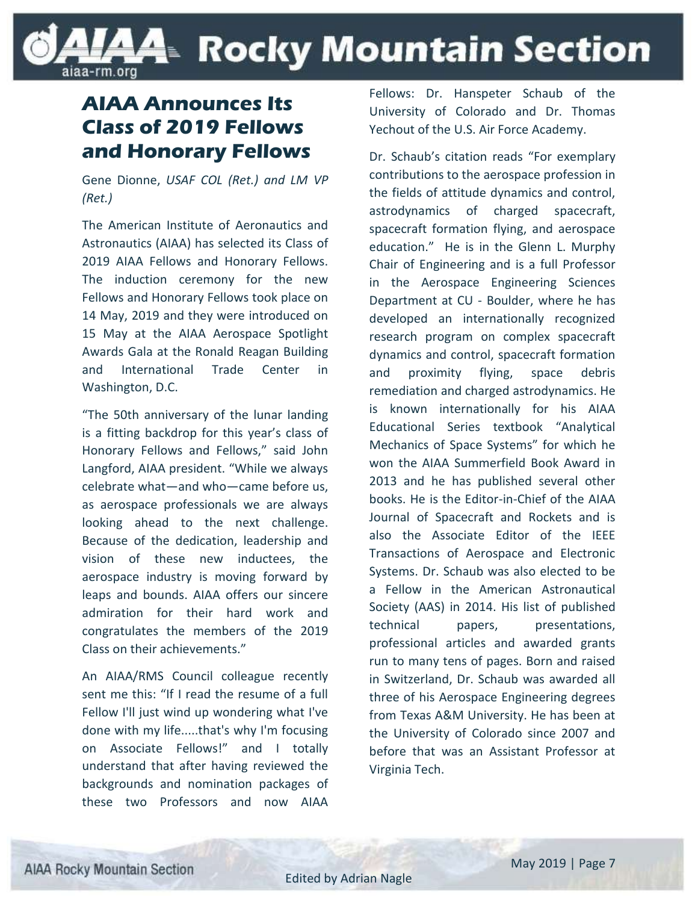### LAAE Rocky Mountain Section iiaa-rm.org

### **AIAA Announces Its Class of 2019 Fellows and Honorary Fellows**

Gene Dionne, *USAF COL (Ret.) and LM VP (Ret.)*

The American Institute of Aeronautics and Astronautics (AIAA) has selected its Class of 2019 AIAA Fellows and Honorary Fellows. The induction ceremony for the new Fellows and Honorary Fellows took place on 14 May, 2019 and they were introduced on 15 May at the AIAA Aerospace Spotlight Awards Gala at the Ronald Reagan Building and International Trade Center in Washington, D.C.

"The 50th anniversary of the lunar landing is a fitting backdrop for this year's class of Honorary Fellows and Fellows," said John Langford, AIAA president. "While we always celebrate what—and who—came before us, as aerospace professionals we are always looking ahead to the next challenge. Because of the dedication, leadership and vision of these new inductees, the aerospace industry is moving forward by leaps and bounds. AIAA offers our sincere admiration for their hard work and congratulates the members of the 2019 Class on their achievements."

An AIAA/RMS Council colleague recently sent me this: "If I read the resume of a full Fellow I'll just wind up wondering what I've done with my life.....that's why I'm focusing on Associate Fellows!" and I totally understand that after having reviewed the backgrounds and nomination packages of these two Professors and now AIAA

Fellows: Dr. Hanspeter Schaub of the University of Colorado and Dr. Thomas Yechout of the U.S. Air Force Academy.

Dr. Schaub's citation reads "For exemplary contributions to the aerospace profession in the fields of attitude dynamics and control, astrodynamics of charged spacecraft, spacecraft formation flying, and aerospace education." He is in the Glenn L. Murphy Chair of Engineering and is a full Professor in the Aerospace Engineering Sciences Department at CU - Boulder, where he has developed an internationally recognized research program on complex spacecraft dynamics and control, spacecraft formation and proximity flying, space debris remediation and charged astrodynamics. He is known internationally for his AIAA Educational Series textbook "Analytical Mechanics of Space Systems" for which he won the AIAA Summerfield Book Award in 2013 and he has published several other books. He is the Editor-in-Chief of the AIAA Journal of Spacecraft and Rockets and is also the Associate Editor of the IEEE Transactions of Aerospace and Electronic Systems. Dr. Schaub was also elected to be a Fellow in the American Astronautical Society (AAS) in 2014. His list of published technical papers, presentations, professional articles and awarded grants run to many tens of pages. Born and raised in Switzerland, Dr. Schaub was awarded all three of his Aerospace Engineering degrees from Texas A&M University. He has been at the University of Colorado since 2007 and before that was an Assistant Professor at Virginia Tech.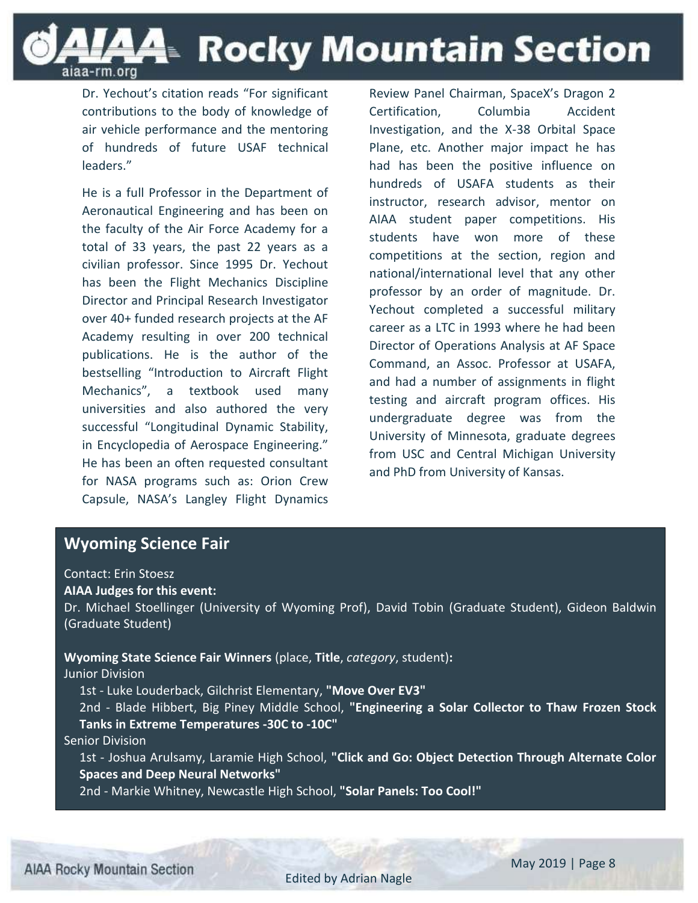

Dr. Yechout's citation reads "For significant contributions to the body of knowledge of air vehicle performance and the mentoring of hundreds of future USAF technical leaders."

He is a full Professor in the Department of Aeronautical Engineering and has been on the faculty of the Air Force Academy for a total of 33 years, the past 22 years as a civilian professor. Since 1995 Dr. Yechout has been the Flight Mechanics Discipline Director and Principal Research Investigator over 40+ funded research projects at the AF Academy resulting in over 200 technical publications. He is the author of the bestselling "Introduction to Aircraft Flight Mechanics", a textbook used many universities and also authored the very successful "Longitudinal Dynamic Stability, in Encyclopedia of Aerospace Engineering." He has been an often requested consultant for NASA programs such as: Orion Crew Capsule, NASA's Langley Flight Dynamics

Review Panel Chairman, SpaceX's Dragon 2 Certification, Columbia Accident Investigation, and the X-38 Orbital Space Plane, etc. Another major impact he has had has been the positive influence on hundreds of USAFA students as their instructor, research advisor, mentor on AIAA student paper competitions. His students have won more of these competitions at the section, region and national/international level that any other professor by an order of magnitude. Dr. Yechout completed a successful military career as a LTC in 1993 where he had been Director of Operations Analysis at AF Space Command, an Assoc. Professor at USAFA, and had a number of assignments in flight testing and aircraft program offices. His undergraduate degree was from the University of Minnesota, graduate degrees from USC and Central Michigan University and PhD from University of Kansas.

#### **Wyoming Science Fair**

#### Contact: Erin Stoesz

#### **AIAA Judges for this event:**

Dr. Michael Stoellinger (University of Wyoming Prof), David Tobin (Graduate Student), Gideon Baldwin (Graduate Student)

**Wyoming State Science Fair Winners** (place, **Title**, *category*, student)**:** Junior Division

1st - Luke Louderback, Gilchrist Elementary, **"Move Over EV3"**

2nd - Blade Hibbert, Big Piney Middle School, **"Engineering a Solar Collector to Thaw Frozen Stock Tanks in Extreme Temperatures -30C to -10C"**

#### Senior Division

1st - Joshua Arulsamy, Laramie High School, **"Click and Go: Object Detection Through Alternate Color Spaces and Deep Neural Networks"**

2nd - Markie Whitney, Newcastle High School, **"Solar Panels: Too Cool!"**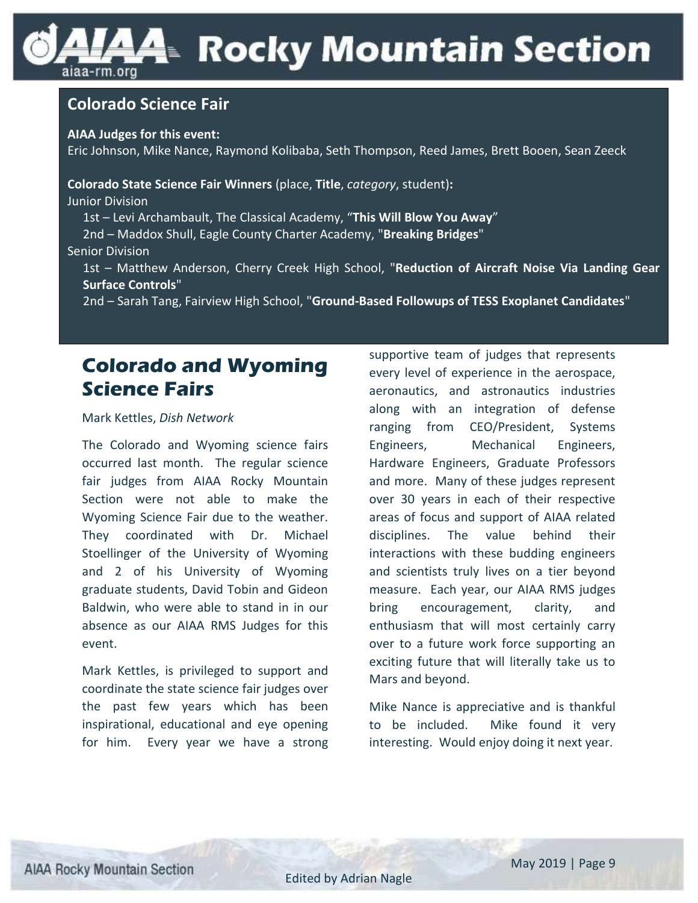### LAAE Rocky Mountain Section iiaa-rm.org

#### **Colorado Science Fair**

**AIAA Judges for this event:**

Eric Johnson, Mike Nance, Raymond Kolibaba, Seth Thompson, Reed James, Brett Booen, Sean Zeeck

**Colorado State Science Fair Winners** (place, **Title**, *category*, student)**:** Junior Division

1st – Levi Archambault, The Classical Academy, "**This Will Blow You Away**"

2nd – Maddox Shull, Eagle County Charter Academy, "**Breaking Bridges**"

#### Senior Division

1st – Matthew Anderson, Cherry Creek High School, "**Reduction of Aircraft Noise Via Landing Gear Surface Controls**"

2nd – Sarah Tang, Fairview High School, "**Ground-Based Followups of TESS Exoplanet Candidates**"

### **Colorado and Wyoming Science Fairs**

#### Mark Kettles, *Dish Network*

The Colorado and Wyoming science fairs occurred last month. The regular science fair judges from AIAA Rocky Mountain Section were not able to make the Wyoming Science Fair due to the weather. They coordinated with Dr. Michael Stoellinger of the University of Wyoming and 2 of his University of Wyoming graduate students, David Tobin and Gideon Baldwin, who were able to stand in in our absence as our AIAA RMS Judges for this event.

Mark Kettles, is privileged to support and coordinate the state science fair judges over the past few years which has been inspirational, educational and eye opening for him. Every year we have a strong supportive team of judges that represents every level of experience in the aerospace, aeronautics, and astronautics industries along with an integration of defense ranging from CEO/President, Systems Engineers, Mechanical Engineers, Hardware Engineers, Graduate Professors and more. Many of these judges represent over 30 years in each of their respective areas of focus and support of AIAA related disciplines. The value behind their interactions with these budding engineers and scientists truly lives on a tier beyond measure. Each year, our AIAA RMS judges bring encouragement, clarity, and enthusiasm that will most certainly carry over to a future work force supporting an exciting future that will literally take us to Mars and beyond.

Mike Nance is appreciative and is thankful to be included. Mike found it very interesting. Would enjoy doing it next year.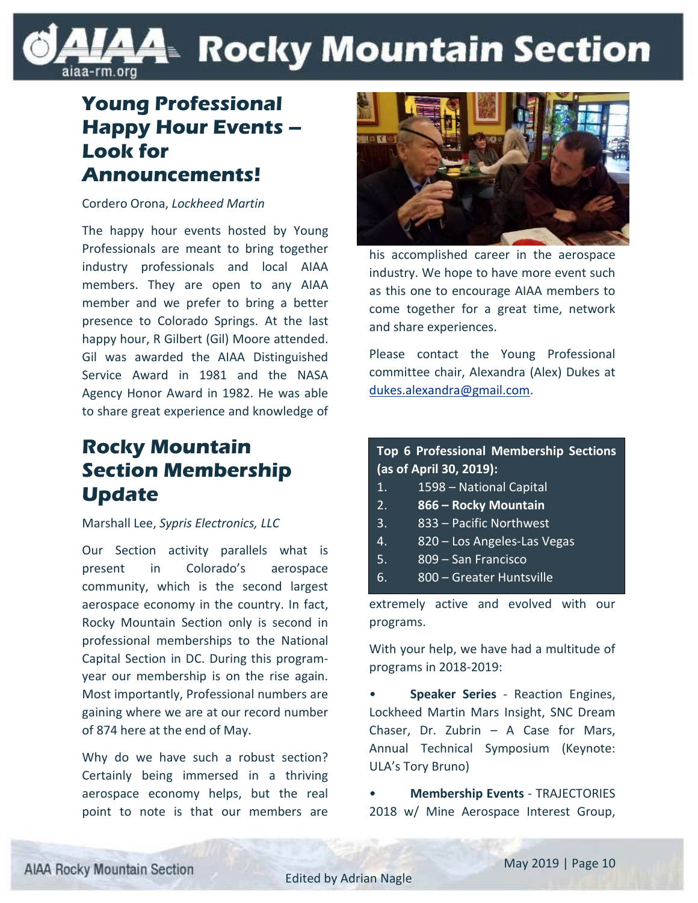### **A4**⊪ Rocky Mountain Section iaa-rm.org

### **Young Professional Happy Hour Events – Look for Announcements!**

Cordero Orona, *Lockheed Martin*

The happy hour events hosted by Young Professionals are meant to bring together industry professionals and local AIAA members. They are open to any AIAA member and we prefer to bring a better presence to Colorado Springs. At the last happy hour, R Gilbert (Gil) Moore attended. Gil was awarded the AIAA Distinguished Service Award in 1981 and the NASA Agency Honor Award in 1982. He was able to share great experience and knowledge of

### **Rocky Mountain Section Membership Update**

#### Marshall Lee, *Sypris Electronics, LLC*

Our Section activity parallels what is present in Colorado's aerospace community, which is the second largest aerospace economy in the country. In fact, Rocky Mountain Section only is second in professional memberships to the National Capital Section in DC. During this programyear our membership is on the rise again. Most importantly, Professional numbers are gaining where we are at our record number of 874 here at the end of May.

Why do we have such a robust section? Certainly being immersed in a thriving aerospace economy helps, but the real point to note is that our members are



his accomplished career in the aerospace industry. We hope to have more event such as this one to encourage AIAA members to come together for a great time, network and share experiences.

Please contact the Young Professional committee chair, Alexandra (Alex) Dukes at [dukes.alexandra@gmail.com.](mailto:dukes.alexandra@gmail.com)

**Top 6 Professional Membership Sections (as of April 30, 2019):**

- 1. 1598 National Capital
- 2. **866 – Rocky Mountain**
- 3. 833 Pacific Northwest
- 4. 820 Los Angeles-Las Vegas
- 5. 809 San Francisco
- 6. 800 Greater Huntsville

extremely active and evolved with our programs.

With your help, we have had a multitude of programs in 2018-2019:

• **Speaker Series** - Reaction Engines, Lockheed Martin Mars Insight, SNC Dream Chaser, Dr. Zubrin – A Case for Mars, Annual Technical Symposium (Keynote: ULA's Tory Bruno)

• **Membership Events** - TRAJECTORIES 2018 w/ Mine Aerospace Interest Group,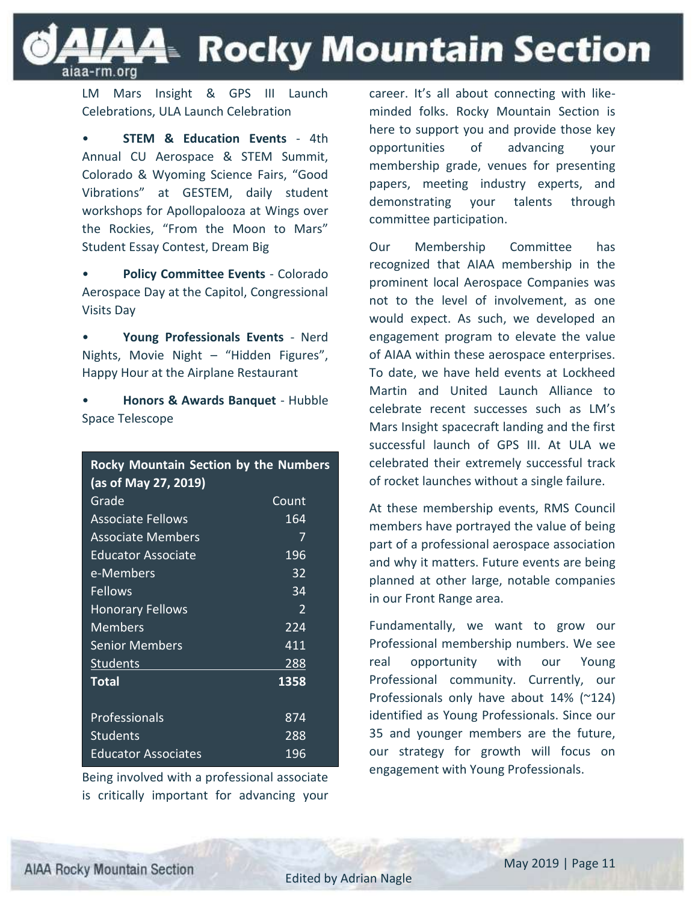**44 Rocky Mountain Section** 

LM Mars Insight & GPS III Launch Celebrations, ULA Launch Celebration

iaa-rm.org

**STEM & Education Events - 4th** Annual CU Aerospace & STEM Summit, Colorado & Wyoming Science Fairs, "Good Vibrations" at GESTEM, daily student workshops for Apollopalooza at Wings over the Rockies, "From the Moon to Mars" Student Essay Contest, Dream Big

• **Policy Committee Events** - Colorado Aerospace Day at the Capitol, Congressional Visits Day

• **Young Professionals Events** - Nerd Nights, Movie Night – "Hidden Figures", Happy Hour at the Airplane Restaurant

• **Honors & Awards Banquet** - Hubble Space Telescope

| <b>Rocky Mountain Section by the Numbers</b><br>(as of May 27, 2019) |       |
|----------------------------------------------------------------------|-------|
| Grade                                                                | Count |
| <b>Associate Fellows</b>                                             | 164   |
| Associate Members                                                    | 7     |
| <b>Educator Associate</b>                                            | 196   |
| e-Members                                                            | 32    |
| Fellows                                                              | 34    |
| <b>Honorary Fellows</b>                                              | 2     |
| Members                                                              | 224   |
| Senior Members                                                       | 411   |
| Students                                                             | 288   |
| Total                                                                | 1358  |
| Professionals                                                        | 874   |
| <b>Students</b>                                                      | 288   |
| <b>Educator Associates</b>                                           | 196   |

Being involved with a professional associate is critically important for advancing your

career. It's all about connecting with likeminded folks. Rocky Mountain Section is here to support you and provide those key opportunities of advancing your membership grade, venues for presenting papers, meeting industry experts, and demonstrating your talents through committee participation.

Our Membership Committee has recognized that AIAA membership in the prominent local Aerospace Companies was not to the level of involvement, as one would expect. As such, we developed an engagement program to elevate the value of AIAA within these aerospace enterprises. To date, we have held events at Lockheed Martin and United Launch Alliance to celebrate recent successes such as LM's Mars Insight spacecraft landing and the first successful launch of GPS III. At ULA we celebrated their extremely successful track of rocket launches without a single failure.

At these membership events, RMS Council members have portrayed the value of being part of a professional aerospace association and why it matters. Future events are being planned at other large, notable companies in our Front Range area.

Fundamentally, we want to grow our Professional membership numbers. We see real opportunity with our Young Professional community. Currently, our Professionals only have about 14% (~124) identified as Young Professionals. Since our 35 and younger members are the future, our strategy for growth will focus on engagement with Young Professionals.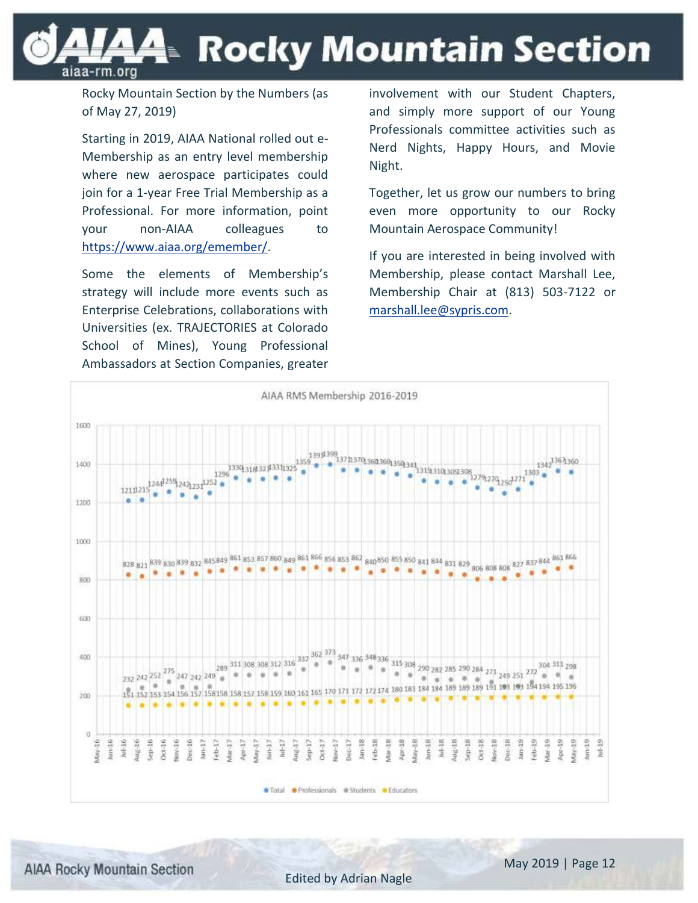A≅ Rocky Mountain Section aiaa-rm.org

Rocky Mountain Section by the Numbers (as of May 27, 2019)

Starting in 2019, AIAA National rolled out e-Membership as an entry level membership where new aerospace participates could join for a 1-year Free Trial Membership as a Professional. For more information, point your non-AIAA colleagues to [https://www.aiaa.org/emember/.](https://www.aiaa.org/emember/)

Some the elements of Membership's strategy will include more events such as Enterprise Celebrations, collaborations with Universities (ex. TRAJECTORIES at Colorado School of Mines), Young Professional Ambassadors at Section Companies, greater involvement with our Student Chapters, and simply more support of our Young Professionals committee activities such as Nerd Nights, Happy Hours, and Movie Night.

Together, let us grow our numbers to bring even more opportunity to our Rocky Mountain Aerospace Community!

If you are interested in being involved with Membership, please contact Marshall Lee, Membership Chair at (813) 503-7122 or [marshall.lee@sypris.com.](mailto:marshall.lee@sypris.com)



**AIAA Rocky Mountain Section**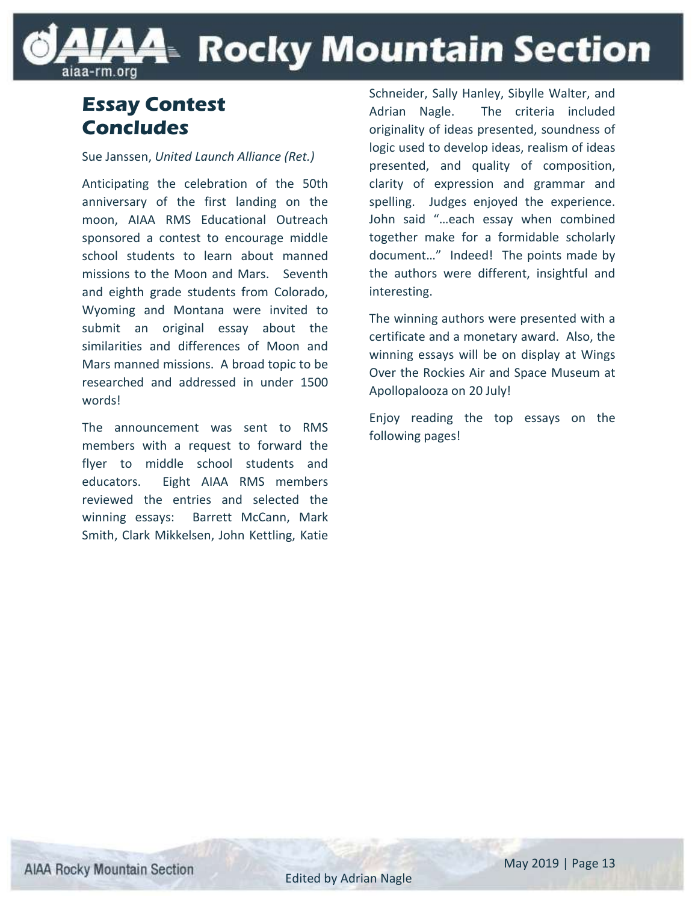### LAAE Rocky Mountain Section aiaa-rm.org

### **Essay Contest Concludes**

#### Sue Janssen, *United Launch Alliance (Ret.)*

Anticipating the celebration of the 50th anniversary of the first landing on the moon, AIAA RMS Educational Outreach sponsored a contest to encourage middle school students to learn about manned missions to the Moon and Mars. Seventh and eighth grade students from Colorado, Wyoming and Montana were invited to submit an original essay about the similarities and differences of Moon and Mars manned missions. A broad topic to be researched and addressed in under 1500 words!

The announcement was sent to RMS members with a request to forward the flyer to middle school students and educators. Eight AIAA RMS members reviewed the entries and selected the winning essays: Barrett McCann, Mark Smith, Clark Mikkelsen, John Kettling, Katie Schneider, Sally Hanley, Sibylle Walter, and Adrian Nagle. The criteria included originality of ideas presented, soundness of logic used to develop ideas, realism of ideas presented, and quality of composition, clarity of expression and grammar and spelling. Judges enjoyed the experience. John said "…each essay when combined together make for a formidable scholarly document…" Indeed! The points made by the authors were different, insightful and interesting.

The winning authors were presented with a certificate and a monetary award. Also, the winning essays will be on display at Wings Over the Rockies Air and Space Museum at Apollopalooza on 20 July!

Enjoy reading the top essays on the following pages!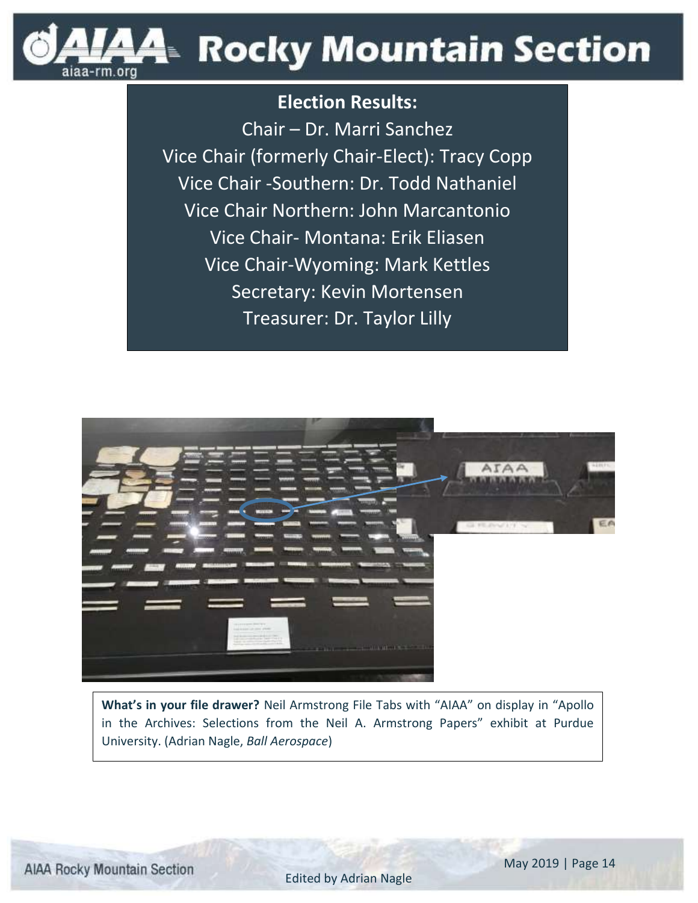

### **Election Results:**

Chair – Dr. Marri Sanchez Vice Chair (formerly Chair-Elect): Tracy Copp Vice Chair -Southern: Dr. Todd Nathaniel Vice Chair Northern: John Marcantonio Vice Chair- Montana: Erik Eliasen Vice Chair-Wyoming: Mark Kettles Secretary: Kevin Mortensen Treasurer: Dr. Taylor Lilly



**What's in your file drawer?** Neil Armstrong File Tabs with "AIAA" on display in "Apollo in the Archives: Selections from the Neil A. Armstrong Papers" exhibit at Purdue University. (Adrian Nagle, *Ball Aerospace*)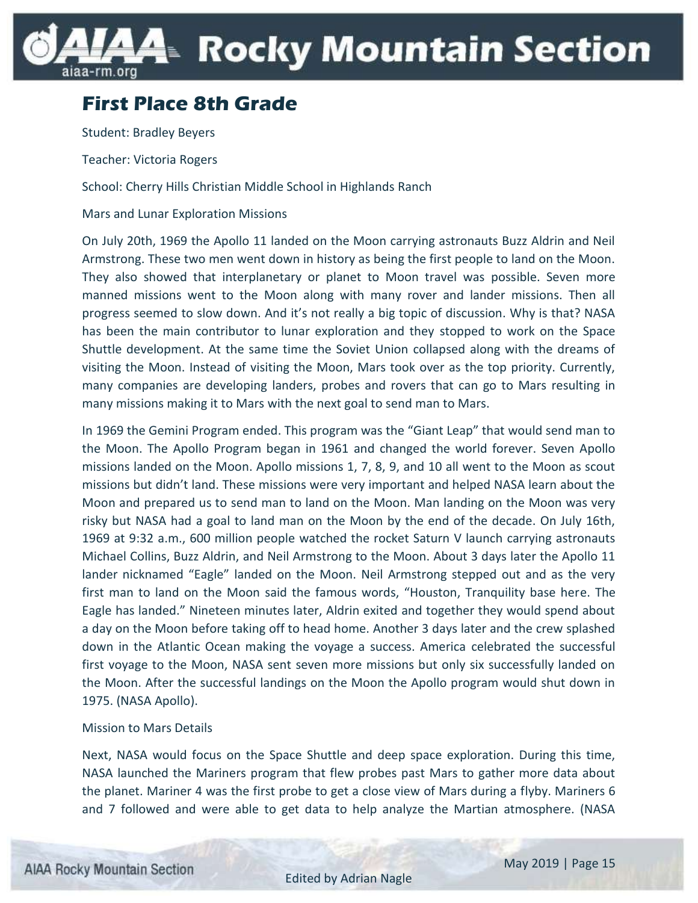## A≅ Rocky Mountain Section ıiaa-rm.orq

### **First Place 8th Grade**

Student: Bradley Beyers

Teacher: Victoria Rogers

School: Cherry Hills Christian Middle School in Highlands Ranch

Mars and Lunar Exploration Missions

On July 20th, 1969 the Apollo 11 landed on the Moon carrying astronauts Buzz Aldrin and Neil Armstrong. These two men went down in history as being the first people to land on the Moon. They also showed that interplanetary or planet to Moon travel was possible. Seven more manned missions went to the Moon along with many rover and lander missions. Then all progress seemed to slow down. And it's not really a big topic of discussion. Why is that? NASA has been the main contributor to lunar exploration and they stopped to work on the Space Shuttle development. At the same time the Soviet Union collapsed along with the dreams of visiting the Moon. Instead of visiting the Moon, Mars took over as the top priority. Currently, many companies are developing landers, probes and rovers that can go to Mars resulting in many missions making it to Mars with the next goal to send man to Mars.

In 1969 the Gemini Program ended. This program was the "Giant Leap" that would send man to the Moon. The Apollo Program began in 1961 and changed the world forever. Seven Apollo missions landed on the Moon. Apollo missions 1, 7, 8, 9, and 10 all went to the Moon as scout missions but didn't land. These missions were very important and helped NASA learn about the Moon and prepared us to send man to land on the Moon. Man landing on the Moon was very risky but NASA had a goal to land man on the Moon by the end of the decade. On July 16th, 1969 at 9:32 a.m., 600 million people watched the rocket Saturn V launch carrying astronauts Michael Collins, Buzz Aldrin, and Neil Armstrong to the Moon. About 3 days later the Apollo 11 lander nicknamed "Eagle" landed on the Moon. Neil Armstrong stepped out and as the very first man to land on the Moon said the famous words, "Houston, Tranquility base here. The Eagle has landed." Nineteen minutes later, Aldrin exited and together they would spend about a day on the Moon before taking off to head home. Another 3 days later and the crew splashed down in the Atlantic Ocean making the voyage a success. America celebrated the successful first voyage to the Moon, NASA sent seven more missions but only six successfully landed on the Moon. After the successful landings on the Moon the Apollo program would shut down in 1975. (NASA Apollo).

#### Mission to Mars Details

Next, NASA would focus on the Space Shuttle and deep space exploration. During this time, NASA launched the Mariners program that flew probes past Mars to gather more data about the planet. Mariner 4 was the first probe to get a close view of Mars during a flyby. Mariners 6 and 7 followed and were able to get data to help analyze the Martian atmosphere. (NASA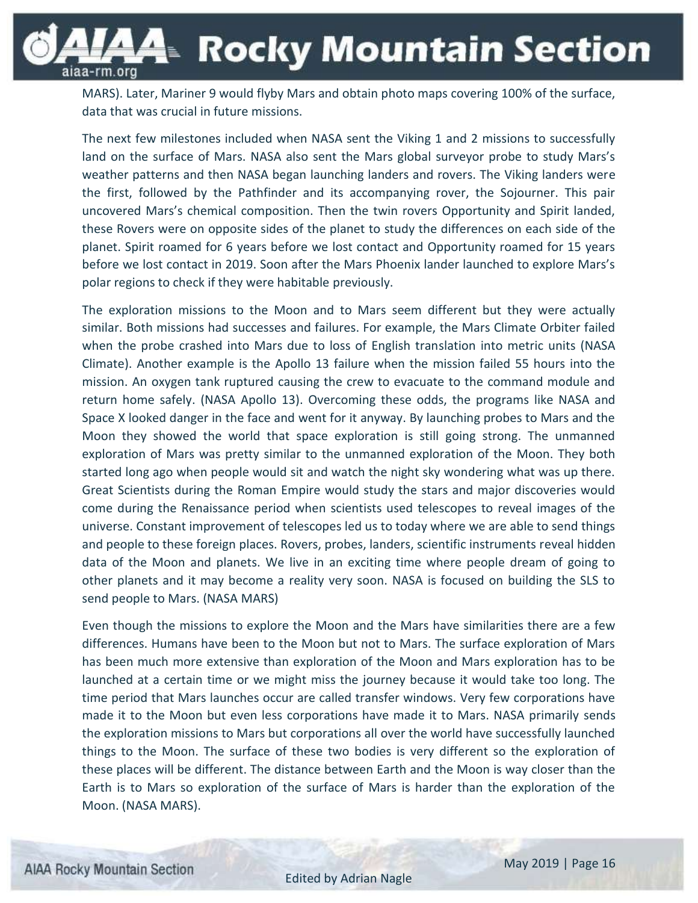**A**≡ Rocky Mountain Section aiaa-rm.org

MARS). Later, Mariner 9 would flyby Mars and obtain photo maps covering 100% of the surface, data that was crucial in future missions.

The next few milestones included when NASA sent the Viking 1 and 2 missions to successfully land on the surface of Mars. NASA also sent the Mars global surveyor probe to study Mars's weather patterns and then NASA began launching landers and rovers. The Viking landers were the first, followed by the Pathfinder and its accompanying rover, the Sojourner. This pair uncovered Mars's chemical composition. Then the twin rovers Opportunity and Spirit landed, these Rovers were on opposite sides of the planet to study the differences on each side of the planet. Spirit roamed for 6 years before we lost contact and Opportunity roamed for 15 years before we lost contact in 2019. Soon after the Mars Phoenix lander launched to explore Mars's polar regions to check if they were habitable previously.

The exploration missions to the Moon and to Mars seem different but they were actually similar. Both missions had successes and failures. For example, the Mars Climate Orbiter failed when the probe crashed into Mars due to loss of English translation into metric units (NASA Climate). Another example is the Apollo 13 failure when the mission failed 55 hours into the mission. An oxygen tank ruptured causing the crew to evacuate to the command module and return home safely. (NASA Apollo 13). Overcoming these odds, the programs like NASA and Space X looked danger in the face and went for it anyway. By launching probes to Mars and the Moon they showed the world that space exploration is still going strong. The unmanned exploration of Mars was pretty similar to the unmanned exploration of the Moon. They both started long ago when people would sit and watch the night sky wondering what was up there. Great Scientists during the Roman Empire would study the stars and major discoveries would come during the Renaissance period when scientists used telescopes to reveal images of the universe. Constant improvement of telescopes led us to today where we are able to send things and people to these foreign places. Rovers, probes, landers, scientific instruments reveal hidden data of the Moon and planets. We live in an exciting time where people dream of going to other planets and it may become a reality very soon. NASA is focused on building the SLS to send people to Mars. (NASA MARS)

Even though the missions to explore the Moon and the Mars have similarities there are a few differences. Humans have been to the Moon but not to Mars. The surface exploration of Mars has been much more extensive than exploration of the Moon and Mars exploration has to be launched at a certain time or we might miss the journey because it would take too long. The time period that Mars launches occur are called transfer windows. Very few corporations have made it to the Moon but even less corporations have made it to Mars. NASA primarily sends the exploration missions to Mars but corporations all over the world have successfully launched things to the Moon. The surface of these two bodies is very different so the exploration of these places will be different. The distance between Earth and the Moon is way closer than the Earth is to Mars so exploration of the surface of Mars is harder than the exploration of the Moon. (NASA MARS).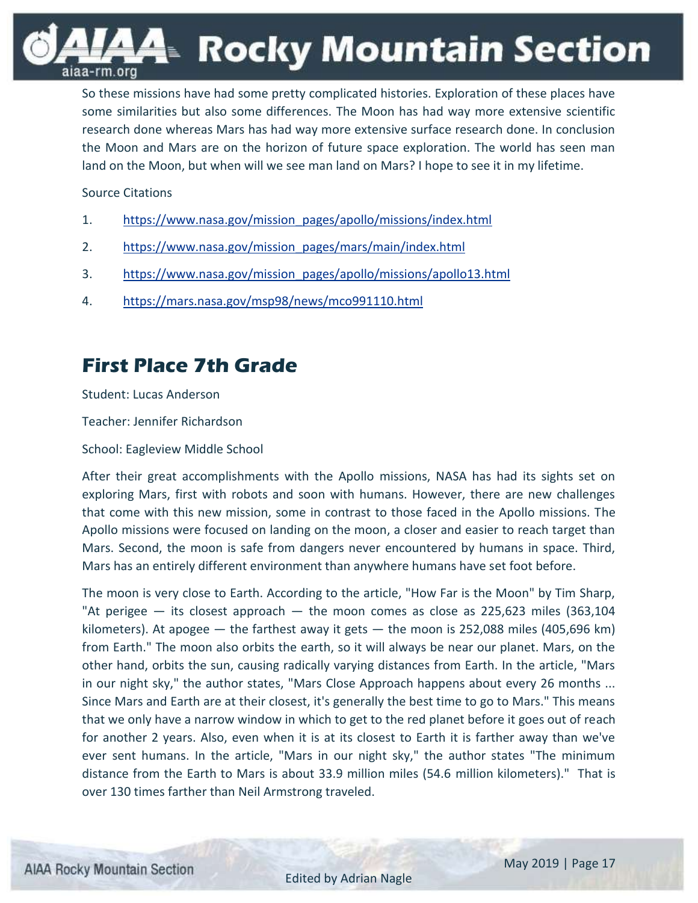44⊧ Rocky Mountain Section

So these missions have had some pretty complicated histories. Exploration of these places have some similarities but also some differences. The Moon has had way more extensive scientific research done whereas Mars has had way more extensive surface research done. In conclusion the Moon and Mars are on the horizon of future space exploration. The world has seen man land on the Moon, but when will we see man land on Mars? I hope to see it in my lifetime.

Source Citations

aiaa-rm.org

- 1. [https://www.nasa.gov/mission\\_pages/apollo/missions/index.html](https://www.nasa.gov/mission_pages/apollo/missions/index.html)
- 2. [https://www.nasa.gov/mission\\_pages/mars/main/index.html](https://www.nasa.gov/mission_pages/mars/main/index.html)
- 3. [https://www.nasa.gov/mission\\_pages/apollo/missions/apollo13.html](https://www.nasa.gov/mission_pages/apollo/missions/apollo13.html)
- 4. <https://mars.nasa.gov/msp98/news/mco991110.html>

### **First Place 7th Grade**

Student: Lucas Anderson

Teacher: Jennifer Richardson

School: Eagleview Middle School

After their great accomplishments with the Apollo missions, NASA has had its sights set on exploring Mars, first with robots and soon with humans. However, there are new challenges that come with this new mission, some in contrast to those faced in the Apollo missions. The Apollo missions were focused on landing on the moon, a closer and easier to reach target than Mars. Second, the moon is safe from dangers never encountered by humans in space. Third, Mars has an entirely different environment than anywhere humans have set foot before.

The moon is very close to Earth. According to the article, "How Far is the Moon" by Tim Sharp, "At perigee  $-$  its closest approach  $-$  the moon comes as close as 225,623 miles (363,104 kilometers). At apogee  $-$  the farthest away it gets  $-$  the moon is 252,088 miles (405,696 km) from Earth." The moon also orbits the earth, so it will always be near our planet. Mars, on the other hand, orbits the sun, causing radically varying distances from Earth. In the article, "Mars in our night sky," the author states, "Mars Close Approach happens about every 26 months ... Since Mars and Earth are at their closest, it's generally the best time to go to Mars." This means that we only have a narrow window in which to get to the red planet before it goes out of reach for another 2 years. Also, even when it is at its closest to Earth it is farther away than we've ever sent humans. In the article, "Mars in our night sky," the author states "The minimum distance from the Earth to Mars is about 33.9 million miles (54.6 million kilometers)." That is over 130 times farther than Neil Armstrong traveled.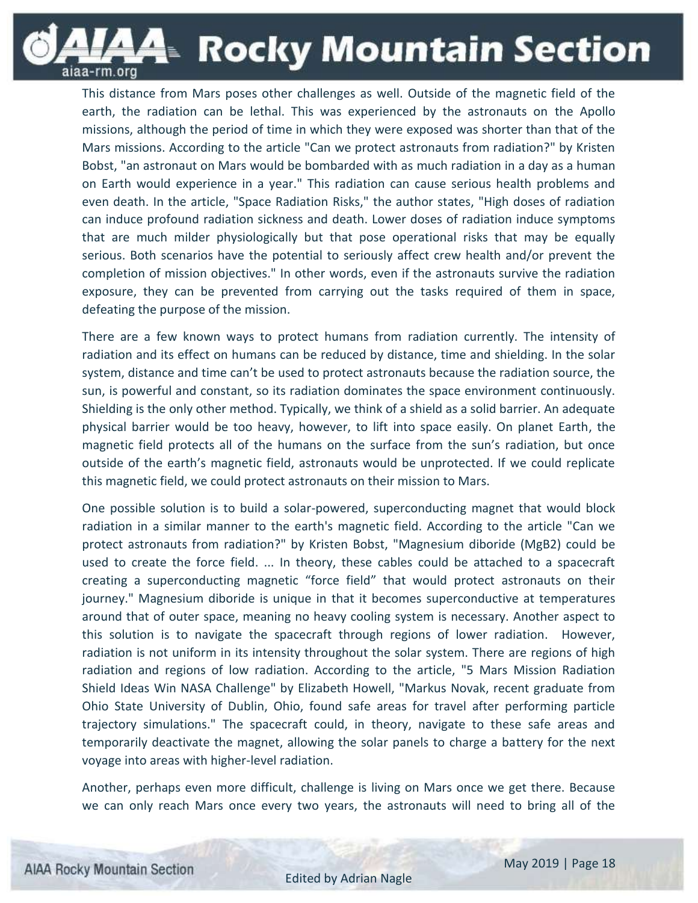**A**≡ Rocky Mountain Section

This distance from Mars poses other challenges as well. Outside of the magnetic field of the earth, the radiation can be lethal. This was experienced by the astronauts on the Apollo missions, although the period of time in which they were exposed was shorter than that of the Mars missions. According to the article "Can we protect astronauts from radiation?" by Kristen Bobst, "an astronaut on Mars would be bombarded with as much radiation in a day as a human on Earth would experience in a year." This radiation can cause serious health problems and even death. In the article, "Space Radiation Risks," the author states, "High doses of radiation can induce profound radiation sickness and death. Lower doses of radiation induce symptoms that are much milder physiologically but that pose operational risks that may be equally serious. Both scenarios have the potential to seriously affect crew health and/or prevent the completion of mission objectives." In other words, even if the astronauts survive the radiation exposure, they can be prevented from carrying out the tasks required of them in space, defeating the purpose of the mission.

There are a few known ways to protect humans from radiation currently. The intensity of radiation and its effect on humans can be reduced by distance, time and shielding. In the solar system, distance and time can't be used to protect astronauts because the radiation source, the sun, is powerful and constant, so its radiation dominates the space environment continuously. Shielding is the only other method. Typically, we think of a shield as a solid barrier. An adequate physical barrier would be too heavy, however, to lift into space easily. On planet Earth, the magnetic field protects all of the humans on the surface from the sun's radiation, but once outside of the earth's magnetic field, astronauts would be unprotected. If we could replicate this magnetic field, we could protect astronauts on their mission to Mars.

One possible solution is to build a solar-powered, superconducting magnet that would block radiation in a similar manner to the earth's magnetic field. According to the article "Can we protect astronauts from radiation?" by Kristen Bobst, "Magnesium diboride (MgB2) could be used to create the force field. ... In theory, these cables could be attached to a spacecraft creating a superconducting magnetic "force field" that would protect astronauts on their journey." Magnesium diboride is unique in that it becomes superconductive at temperatures around that of outer space, meaning no heavy cooling system is necessary. Another aspect to this solution is to navigate the spacecraft through regions of lower radiation. However, radiation is not uniform in its intensity throughout the solar system. There are regions of high radiation and regions of low radiation. According to the article, "5 Mars Mission Radiation Shield Ideas Win NASA Challenge" by Elizabeth Howell, "Markus Novak, recent graduate from Ohio State University of Dublin, Ohio, found safe areas for travel after performing particle trajectory simulations." The spacecraft could, in theory, navigate to these safe areas and temporarily deactivate the magnet, allowing the solar panels to charge a battery for the next voyage into areas with higher-level radiation.

Another, perhaps even more difficult, challenge is living on Mars once we get there. Because we can only reach Mars once every two years, the astronauts will need to bring all of the

aiaa-rm.org